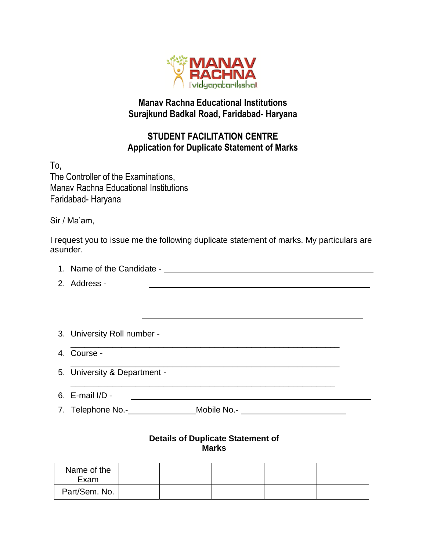

## **Manav Rachna Educational Institutions Surajkund Badkal Road, Faridabad- Haryana**

## **STUDENT FACILITATION CENTRE Application for Duplicate Statement of Marks**

To, The Controller of the Examinations, Manav Rachna Educational Institutions Faridabad- Haryana

Sir / Ma'am,

I request you to issue me the following duplicate statement of marks. My particulars are asunder.

| 1. Name of the Candidate -                                                                                          |  |  |  |  |  |  |  |
|---------------------------------------------------------------------------------------------------------------------|--|--|--|--|--|--|--|
| 2. Address -                                                                                                        |  |  |  |  |  |  |  |
|                                                                                                                     |  |  |  |  |  |  |  |
|                                                                                                                     |  |  |  |  |  |  |  |
|                                                                                                                     |  |  |  |  |  |  |  |
| 3. University Roll number -                                                                                         |  |  |  |  |  |  |  |
| 4. Course -                                                                                                         |  |  |  |  |  |  |  |
| 5. University & Department -                                                                                        |  |  |  |  |  |  |  |
| 6. E-mail $I/D$ -                                                                                                   |  |  |  |  |  |  |  |
| 7. Telephone No.- <b>Witter Street Street Street Street Street Street Street Street Street Street Street Street</b> |  |  |  |  |  |  |  |
|                                                                                                                     |  |  |  |  |  |  |  |

## **Details of Duplicate Statement of Marks**

| Name of the<br>Exam |  |  |  |
|---------------------|--|--|--|
| Part/Sem. No.       |  |  |  |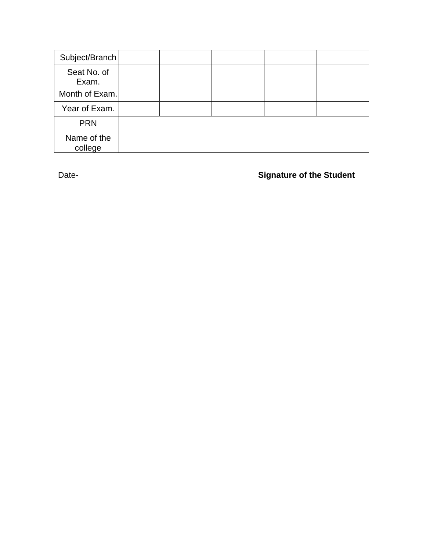| Subject/Branch         |  |  |  |
|------------------------|--|--|--|
| Seat No. of<br>Exam.   |  |  |  |
| Month of Exam.         |  |  |  |
| Year of Exam.          |  |  |  |
| <b>PRN</b>             |  |  |  |
| Name of the<br>college |  |  |  |

Date- **Signature of the Student**